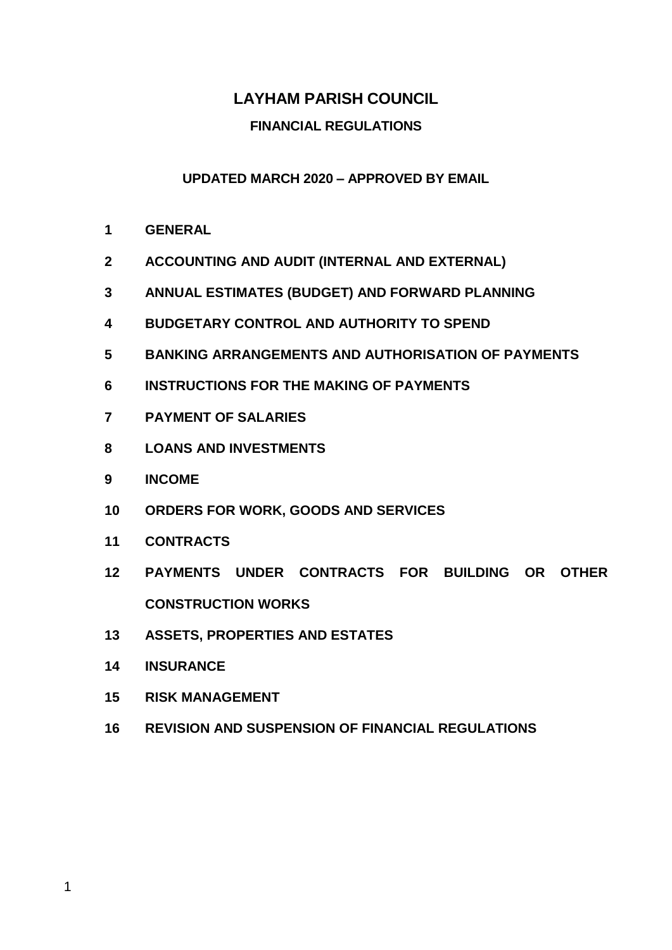# **LAYHAM PARISH COUNCIL**

#### **FINANCIAL REGULATIONS**

#### **UPDATED MARCH 2020 – APPROVED BY EMAIL**

- **GENERAL**
- **ACCOUNTING AND AUDIT (INTERNAL AND EXTERNAL)**
- **ANNUAL ESTIMATES (BUDGET) AND FORWARD PLANNING**
- **BUDGETARY CONTROL AND AUTHORITY TO SPEND**
- **BANKING ARRANGEMENTS AND AUTHORISATION OF PAYMENTS**
- **INSTRUCTIONS FOR THE MAKING OF PAYMENTS**
- **PAYMENT OF SALARIES**
- **LOANS AND INVESTMENTS**
- **INCOME**
- **ORDERS FOR WORK, GOODS AND SERVICES**
- **CONTRACTS**
- **PAYMENTS UNDER CONTRACTS FOR BUILDING OR OTHER CONSTRUCTION WORKS**
- **ASSETS, PROPERTIES AND ESTATES**
- **INSURANCE**
- **RISK MANAGEMENT**
- **REVISION AND SUSPENSION OF FINANCIAL REGULATIONS**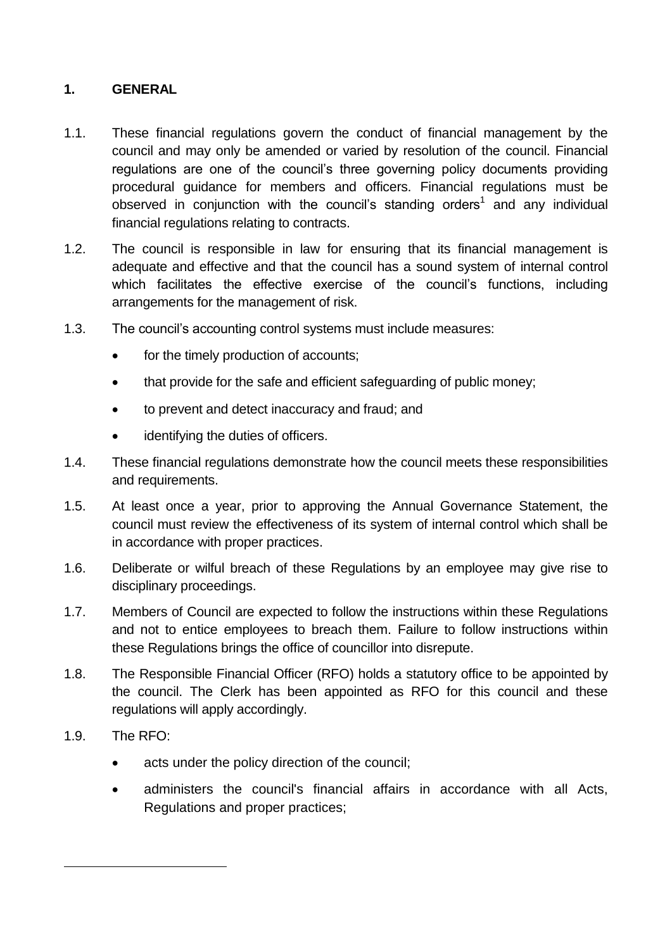#### **1. GENERAL**

- 1.1. These financial regulations govern the conduct of financial management by the council and may only be amended or varied by resolution of the council. Financial regulations are one of the council's three governing policy documents providing procedural guidance for members and officers. Financial regulations must be observed in conjunction with the council's standing orders<sup>1</sup> and any individual financial regulations relating to contracts.
- 1.2. The council is responsible in law for ensuring that its financial management is adequate and effective and that the council has a sound system of internal control which facilitates the effective exercise of the council's functions, including arrangements for the management of risk.
- 1.3. The council's accounting control systems must include measures:
	- for the timely production of accounts;
	- that provide for the safe and efficient safeguarding of public money:
	- to prevent and detect inaccuracy and fraud; and
	- identifying the duties of officers.
- 1.4. These financial regulations demonstrate how the council meets these responsibilities and requirements.
- 1.5. At least once a year, prior to approving the Annual Governance Statement, the council must review the effectiveness of its system of internal control which shall be in accordance with proper practices.
- 1.6. Deliberate or wilful breach of these Regulations by an employee may give rise to disciplinary proceedings.
- 1.7. Members of Council are expected to follow the instructions within these Regulations and not to entice employees to breach them. Failure to follow instructions within these Regulations brings the office of councillor into disrepute.
- 1.8. The Responsible Financial Officer (RFO) holds a statutory office to be appointed by the council. The Clerk has been appointed as RFO for this council and these regulations will apply accordingly.
- 1.9. The RFO:

1

- acts under the policy direction of the council;
- administers the council's financial affairs in accordance with all Acts, Regulations and proper practices;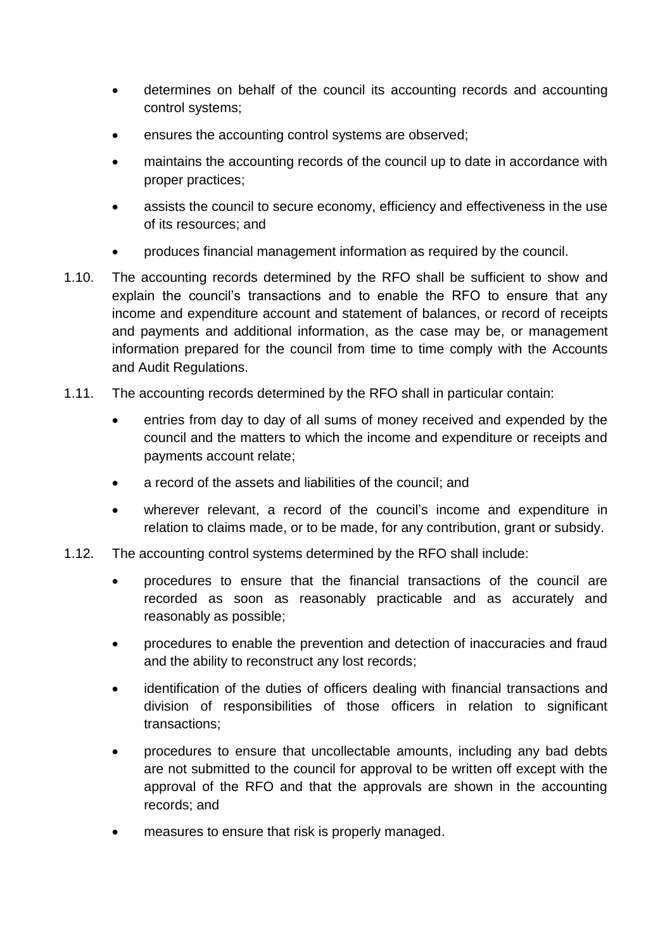- determines on behalf of the council its accounting records and accounting control systems;
- ensures the accounting control systems are observed;
- maintains the accounting records of the council up to date in accordance with proper practices;
- assists the council to secure economy, efficiency and effectiveness in the use of its resources; and
- produces financial management information as required by the council.
- 1.10. The accounting records determined by the RFO shall be sufficient to show and explain the council's transactions and to enable the RFO to ensure that any income and expenditure account and statement of balances, or record of receipts and payments and additional information, as the case may be, or management information prepared for the council from time to time comply with the Accounts and Audit Regulations.
- 1.11. The accounting records determined by the RFO shall in particular contain:
	- entries from day to day of all sums of money received and expended by the council and the matters to which the income and expenditure or receipts and payments account relate;
	- a record of the assets and liabilities of the council; and
	- wherever relevant, a record of the council's income and expenditure in relation to claims made, or to be made, for any contribution, grant or subsidy.
- 1.12. The accounting control systems determined by the RFO shall include:
	- procedures to ensure that the financial transactions of the council are recorded as soon as reasonably practicable and as accurately and reasonably as possible;
	- procedures to enable the prevention and detection of inaccuracies and fraud and the ability to reconstruct any lost records;
	- identification of the duties of officers dealing with financial transactions and division of responsibilities of those officers in relation to significant transactions;
	- procedures to ensure that uncollectable amounts, including any bad debts are not submitted to the council for approval to be written off except with the approval of the RFO and that the approvals are shown in the accounting records; and
	- measures to ensure that risk is properly managed.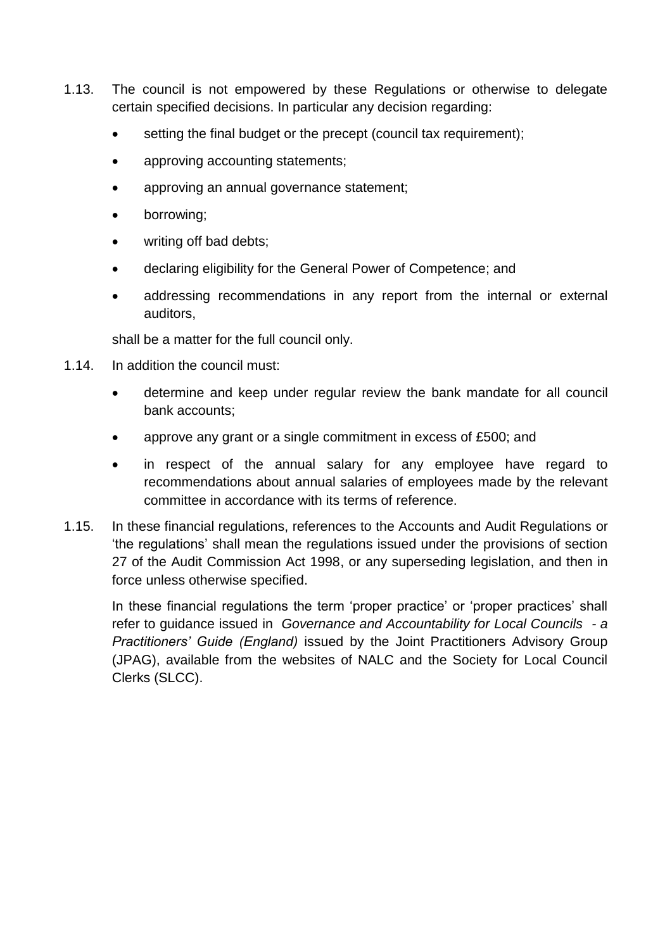- 1.13. The council is not empowered by these Regulations or otherwise to delegate certain specified decisions. In particular any decision regarding:
	- setting the final budget or the precept (council tax requirement);
	- approving accounting statements;
	- approving an annual governance statement;
	- borrowing;
	- writing off bad debts;
	- declaring eligibility for the General Power of Competence; and
	- addressing recommendations in any report from the internal or external auditors,

shall be a matter for the full council only.

- 1.14. In addition the council must:
	- determine and keep under regular review the bank mandate for all council bank accounts;
	- approve any grant or a single commitment in excess of £500; and
	- in respect of the annual salary for any employee have regard to recommendations about annual salaries of employees made by the relevant committee in accordance with its terms of reference.
- 1.15. In these financial regulations, references to the Accounts and Audit Regulations or 'the regulations' shall mean the regulations issued under the provisions of section 27 of the Audit Commission Act 1998, or any superseding legislation, and then in force unless otherwise specified.

In these financial regulations the term 'proper practice' or 'proper practices' shall refer to guidance issued in *Governance and Accountability for Local Councils - a Practitioners' Guide (England)* issued by the Joint Practitioners Advisory Group (JPAG), available from the websites of NALC and the Society for Local Council Clerks (SLCC).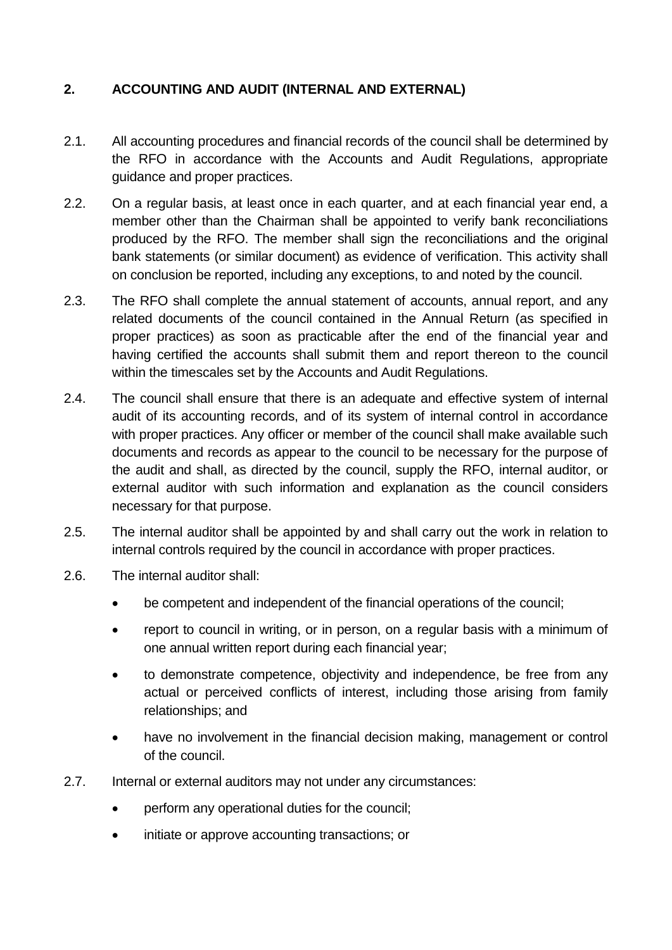# **2. ACCOUNTING AND AUDIT (INTERNAL AND EXTERNAL)**

- 2.1. All accounting procedures and financial records of the council shall be determined by the RFO in accordance with the Accounts and Audit Regulations, appropriate guidance and proper practices.
- 2.2. On a regular basis, at least once in each quarter, and at each financial year end, a member other than the Chairman shall be appointed to verify bank reconciliations produced by the RFO. The member shall sign the reconciliations and the original bank statements (or similar document) as evidence of verification. This activity shall on conclusion be reported, including any exceptions, to and noted by the council.
- 2.3. The RFO shall complete the annual statement of accounts, annual report, and any related documents of the council contained in the Annual Return (as specified in proper practices) as soon as practicable after the end of the financial year and having certified the accounts shall submit them and report thereon to the council within the timescales set by the Accounts and Audit Regulations.
- 2.4. The council shall ensure that there is an adequate and effective system of internal audit of its accounting records, and of its system of internal control in accordance with proper practices. Any officer or member of the council shall make available such documents and records as appear to the council to be necessary for the purpose of the audit and shall, as directed by the council, supply the RFO, internal auditor, or external auditor with such information and explanation as the council considers necessary for that purpose.
- 2.5. The internal auditor shall be appointed by and shall carry out the work in relation to internal controls required by the council in accordance with proper practices.
- 2.6. The internal auditor shall:
	- be competent and independent of the financial operations of the council;
	- report to council in writing, or in person, on a regular basis with a minimum of one annual written report during each financial year;
	- to demonstrate competence, objectivity and independence, be free from any actual or perceived conflicts of interest, including those arising from family relationships; and
	- have no involvement in the financial decision making, management or control of the council.
- 2.7. Internal or external auditors may not under any circumstances:
	- perform any operational duties for the council;
	- initiate or approve accounting transactions; or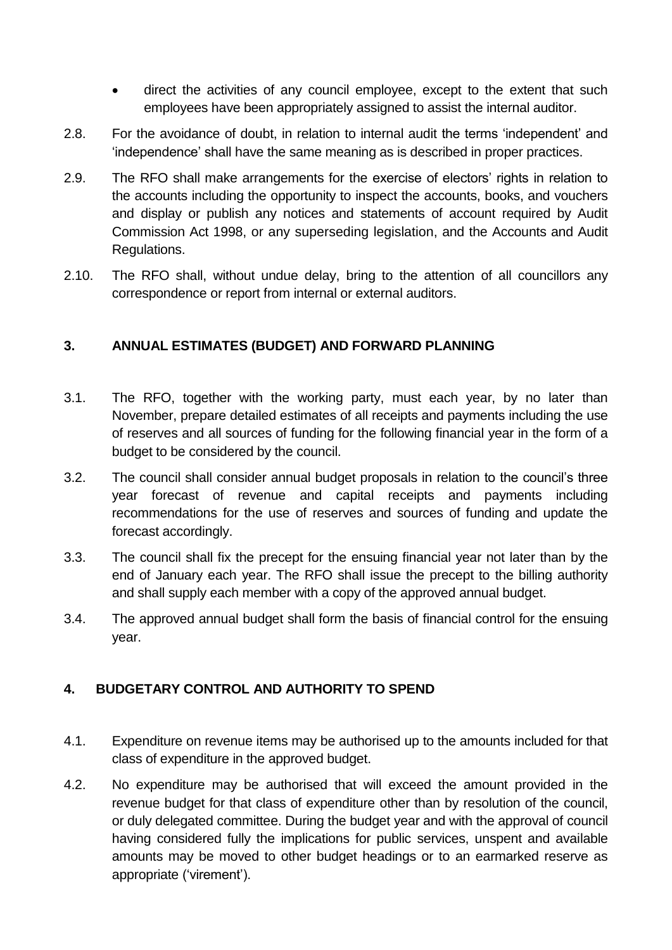- direct the activities of any council employee, except to the extent that such employees have been appropriately assigned to assist the internal auditor.
- 2.8. For the avoidance of doubt, in relation to internal audit the terms 'independent' and 'independence' shall have the same meaning as is described in proper practices.
- 2.9. The RFO shall make arrangements for the exercise of electors' rights in relation to the accounts including the opportunity to inspect the accounts, books, and vouchers and display or publish any notices and statements of account required by Audit Commission Act 1998, or any superseding legislation, and the Accounts and Audit Regulations.
- 2.10. The RFO shall, without undue delay, bring to the attention of all councillors any correspondence or report from internal or external auditors.

### **3. ANNUAL ESTIMATES (BUDGET) AND FORWARD PLANNING**

- 3.1. The RFO, together with the working party, must each year, by no later than November, prepare detailed estimates of all receipts and payments including the use of reserves and all sources of funding for the following financial year in the form of a budget to be considered by the council.
- 3.2. The council shall consider annual budget proposals in relation to the council's three year forecast of revenue and capital receipts and payments including recommendations for the use of reserves and sources of funding and update the forecast accordingly.
- 3.3. The council shall fix the precept for the ensuing financial year not later than by the end of January each year. The RFO shall issue the precept to the billing authority and shall supply each member with a copy of the approved annual budget.
- 3.4. The approved annual budget shall form the basis of financial control for the ensuing year.

# **4. BUDGETARY CONTROL AND AUTHORITY TO SPEND**

- 4.1. Expenditure on revenue items may be authorised up to the amounts included for that class of expenditure in the approved budget.
- 4.2. No expenditure may be authorised that will exceed the amount provided in the revenue budget for that class of expenditure other than by resolution of the council, or duly delegated committee. During the budget year and with the approval of council having considered fully the implications for public services, unspent and available amounts may be moved to other budget headings or to an earmarked reserve as appropriate ('virement').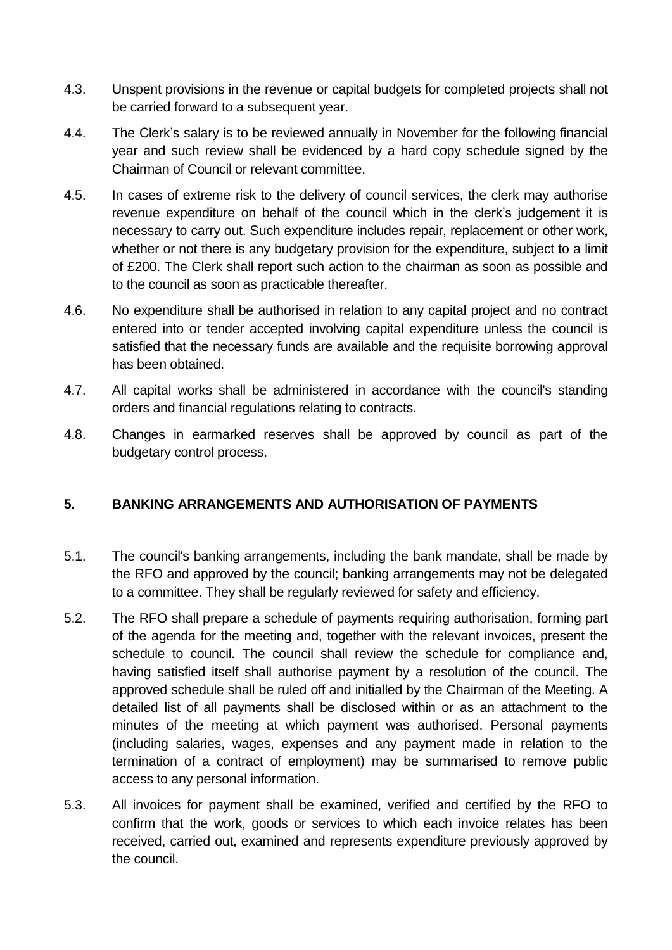- 4.3. Unspent provisions in the revenue or capital budgets for completed projects shall not be carried forward to a subsequent year.
- 4.4. The Clerk's salary is to be reviewed annually in November for the following financial year and such review shall be evidenced by a hard copy schedule signed by the Chairman of Council or relevant committee.
- 4.5. In cases of extreme risk to the delivery of council services, the clerk may authorise revenue expenditure on behalf of the council which in the clerk's judgement it is necessary to carry out. Such expenditure includes repair, replacement or other work, whether or not there is any budgetary provision for the expenditure, subject to a limit of £200. The Clerk shall report such action to the chairman as soon as possible and to the council as soon as practicable thereafter.
- 4.6. No expenditure shall be authorised in relation to any capital project and no contract entered into or tender accepted involving capital expenditure unless the council is satisfied that the necessary funds are available and the requisite borrowing approval has been obtained.
- 4.7. All capital works shall be administered in accordance with the council's standing orders and financial regulations relating to contracts.
- 4.8. Changes in earmarked reserves shall be approved by council as part of the budgetary control process.

# **5. BANKING ARRANGEMENTS AND AUTHORISATION OF PAYMENTS**

- 5.1. The council's banking arrangements, including the bank mandate, shall be made by the RFO and approved by the council; banking arrangements may not be delegated to a committee. They shall be regularly reviewed for safety and efficiency.
- 5.2. The RFO shall prepare a schedule of payments requiring authorisation, forming part of the agenda for the meeting and, together with the relevant invoices, present the schedule to council. The council shall review the schedule for compliance and, having satisfied itself shall authorise payment by a resolution of the council. The approved schedule shall be ruled off and initialled by the Chairman of the Meeting. A detailed list of all payments shall be disclosed within or as an attachment to the minutes of the meeting at which payment was authorised. Personal payments (including salaries, wages, expenses and any payment made in relation to the termination of a contract of employment) may be summarised to remove public access to any personal information.
- 5.3. All invoices for payment shall be examined, verified and certified by the RFO to confirm that the work, goods or services to which each invoice relates has been received, carried out, examined and represents expenditure previously approved by the council.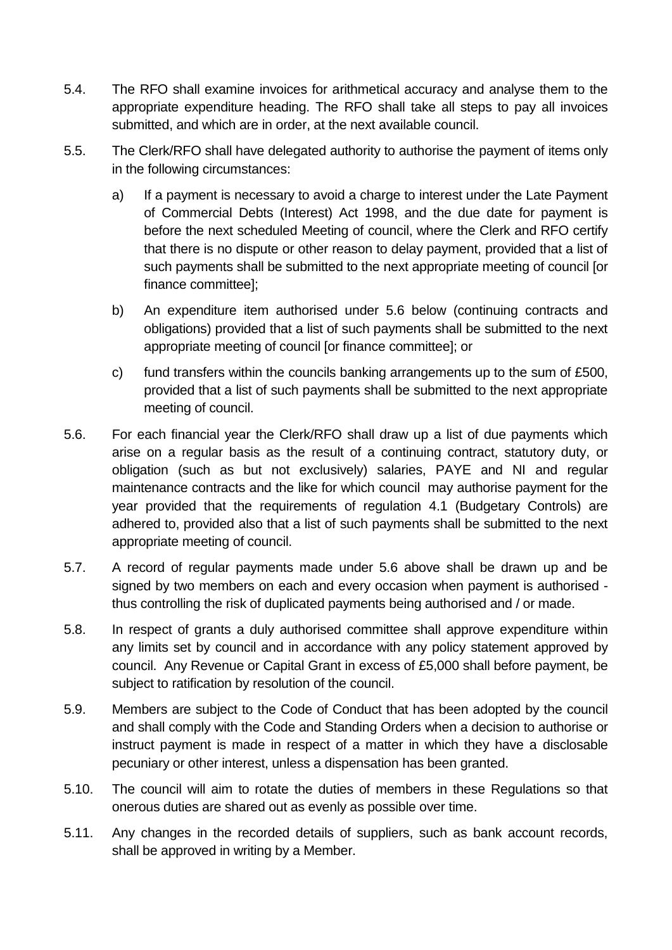- 5.4. The RFO shall examine invoices for arithmetical accuracy and analyse them to the appropriate expenditure heading. The RFO shall take all steps to pay all invoices submitted, and which are in order, at the next available council.
- 5.5. The Clerk/RFO shall have delegated authority to authorise the payment of items only in the following circumstances:
	- a) If a payment is necessary to avoid a charge to interest under the Late Payment of Commercial Debts (Interest) Act 1998, and the due date for payment is before the next scheduled Meeting of council, where the Clerk and RFO certify that there is no dispute or other reason to delay payment, provided that a list of such payments shall be submitted to the next appropriate meeting of council [or finance committee];
	- b) An expenditure item authorised under 5.6 below (continuing contracts and obligations) provided that a list of such payments shall be submitted to the next appropriate meeting of council [or finance committee]; or
	- c) fund transfers within the councils banking arrangements up to the sum of  $£500$ , provided that a list of such payments shall be submitted to the next appropriate meeting of council.
- 5.6. For each financial year the Clerk/RFO shall draw up a list of due payments which arise on a regular basis as the result of a continuing contract, statutory duty, or obligation (such as but not exclusively) salaries, PAYE and NI and regular maintenance contracts and the like for which council may authorise payment for the year provided that the requirements of regulation 4.1 (Budgetary Controls) are adhered to, provided also that a list of such payments shall be submitted to the next appropriate meeting of council.
- 5.7. A record of regular payments made under 5.6 above shall be drawn up and be signed by two members on each and every occasion when payment is authorised thus controlling the risk of duplicated payments being authorised and / or made.
- 5.8. In respect of grants a duly authorised committee shall approve expenditure within any limits set by council and in accordance with any policy statement approved by council. Any Revenue or Capital Grant in excess of £5,000 shall before payment, be subject to ratification by resolution of the council.
- 5.9. Members are subject to the Code of Conduct that has been adopted by the council and shall comply with the Code and Standing Orders when a decision to authorise or instruct payment is made in respect of a matter in which they have a disclosable pecuniary or other interest, unless a dispensation has been granted.
- 5.10. The council will aim to rotate the duties of members in these Regulations so that onerous duties are shared out as evenly as possible over time.
- 5.11. Any changes in the recorded details of suppliers, such as bank account records, shall be approved in writing by a Member.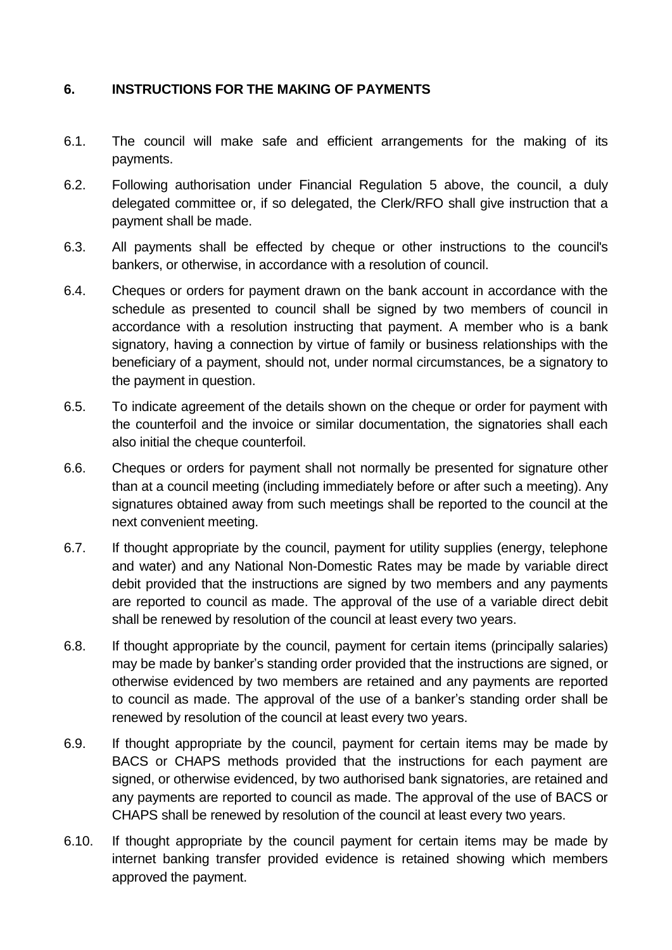### **6. INSTRUCTIONS FOR THE MAKING OF PAYMENTS**

- 6.1. The council will make safe and efficient arrangements for the making of its payments.
- 6.2. Following authorisation under Financial Regulation 5 above, the council, a duly delegated committee or, if so delegated, the Clerk/RFO shall give instruction that a payment shall be made.
- 6.3. All payments shall be effected by cheque or other instructions to the council's bankers, or otherwise, in accordance with a resolution of council.
- 6.4. Cheques or orders for payment drawn on the bank account in accordance with the schedule as presented to council shall be signed by two members of council in accordance with a resolution instructing that payment. A member who is a bank signatory, having a connection by virtue of family or business relationships with the beneficiary of a payment, should not, under normal circumstances, be a signatory to the payment in question.
- 6.5. To indicate agreement of the details shown on the cheque or order for payment with the counterfoil and the invoice or similar documentation, the signatories shall each also initial the cheque counterfoil.
- 6.6. Cheques or orders for payment shall not normally be presented for signature other than at a council meeting (including immediately before or after such a meeting). Any signatures obtained away from such meetings shall be reported to the council at the next convenient meeting.
- 6.7. If thought appropriate by the council, payment for utility supplies (energy, telephone and water) and any National Non-Domestic Rates may be made by variable direct debit provided that the instructions are signed by two members and any payments are reported to council as made. The approval of the use of a variable direct debit shall be renewed by resolution of the council at least every two years.
- 6.8. If thought appropriate by the council, payment for certain items (principally salaries) may be made by banker's standing order provided that the instructions are signed, or otherwise evidenced by two members are retained and any payments are reported to council as made. The approval of the use of a banker's standing order shall be renewed by resolution of the council at least every two years.
- 6.9. If thought appropriate by the council, payment for certain items may be made by BACS or CHAPS methods provided that the instructions for each payment are signed, or otherwise evidenced, by two authorised bank signatories, are retained and any payments are reported to council as made. The approval of the use of BACS or CHAPS shall be renewed by resolution of the council at least every two years.
- 6.10. If thought appropriate by the council payment for certain items may be made by internet banking transfer provided evidence is retained showing which members approved the payment.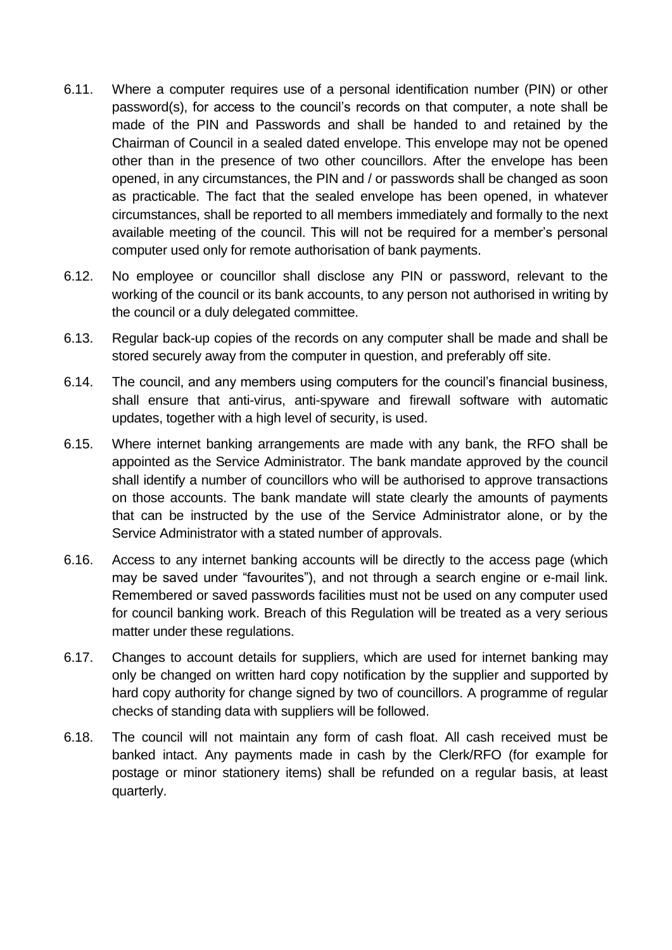- 6.11. Where a computer requires use of a personal identification number (PIN) or other password(s), for access to the council's records on that computer, a note shall be made of the PIN and Passwords and shall be handed to and retained by the Chairman of Council in a sealed dated envelope. This envelope may not be opened other than in the presence of two other councillors. After the envelope has been opened, in any circumstances, the PIN and / or passwords shall be changed as soon as practicable. The fact that the sealed envelope has been opened, in whatever circumstances, shall be reported to all members immediately and formally to the next available meeting of the council. This will not be required for a member's personal computer used only for remote authorisation of bank payments.
- 6.12. No employee or councillor shall disclose any PIN or password, relevant to the working of the council or its bank accounts, to any person not authorised in writing by the council or a duly delegated committee.
- 6.13. Regular back-up copies of the records on any computer shall be made and shall be stored securely away from the computer in question, and preferably off site.
- 6.14. The council, and any members using computers for the council's financial business, shall ensure that anti-virus, anti-spyware and firewall software with automatic updates, together with a high level of security, is used.
- 6.15. Where internet banking arrangements are made with any bank, the RFO shall be appointed as the Service Administrator. The bank mandate approved by the council shall identify a number of councillors who will be authorised to approve transactions on those accounts. The bank mandate will state clearly the amounts of payments that can be instructed by the use of the Service Administrator alone, or by the Service Administrator with a stated number of approvals.
- 6.16. Access to any internet banking accounts will be directly to the access page (which may be saved under "favourites"), and not through a search engine or e-mail link. Remembered or saved passwords facilities must not be used on any computer used for council banking work. Breach of this Regulation will be treated as a very serious matter under these regulations.
- 6.17. Changes to account details for suppliers, which are used for internet banking may only be changed on written hard copy notification by the supplier and supported by hard copy authority for change signed by two of councillors. A programme of regular checks of standing data with suppliers will be followed.
- 6.18. The council will not maintain any form of cash float. All cash received must be banked intact. Any payments made in cash by the Clerk/RFO (for example for postage or minor stationery items) shall be refunded on a regular basis, at least quarterly.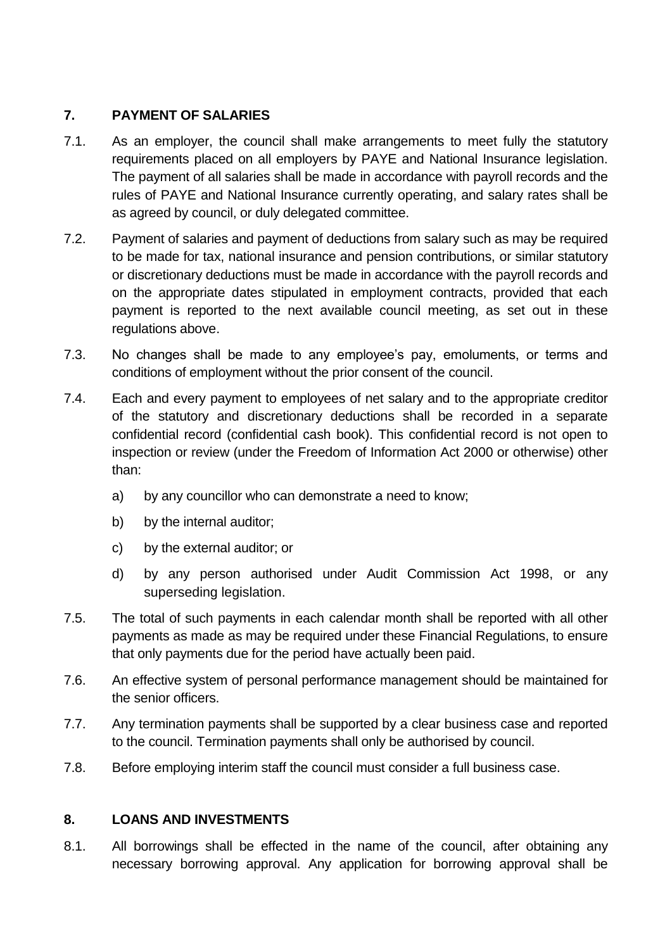### **7. PAYMENT OF SALARIES**

- 7.1. As an employer, the council shall make arrangements to meet fully the statutory requirements placed on all employers by PAYE and National Insurance legislation. The payment of all salaries shall be made in accordance with payroll records and the rules of PAYE and National Insurance currently operating, and salary rates shall be as agreed by council, or duly delegated committee.
- 7.2. Payment of salaries and payment of deductions from salary such as may be required to be made for tax, national insurance and pension contributions, or similar statutory or discretionary deductions must be made in accordance with the payroll records and on the appropriate dates stipulated in employment contracts, provided that each payment is reported to the next available council meeting, as set out in these regulations above.
- 7.3. No changes shall be made to any employee's pay, emoluments, or terms and conditions of employment without the prior consent of the council.
- 7.4. Each and every payment to employees of net salary and to the appropriate creditor of the statutory and discretionary deductions shall be recorded in a separate confidential record (confidential cash book). This confidential record is not open to inspection or review (under the Freedom of Information Act 2000 or otherwise) other than:
	- a) by any councillor who can demonstrate a need to know;
	- b) by the internal auditor;
	- c) by the external auditor; or
	- d) by any person authorised under Audit Commission Act 1998, or any superseding legislation.
- 7.5. The total of such payments in each calendar month shall be reported with all other payments as made as may be required under these Financial Regulations, to ensure that only payments due for the period have actually been paid.
- 7.6. An effective system of personal performance management should be maintained for the senior officers.
- 7.7. Any termination payments shall be supported by a clear business case and reported to the council. Termination payments shall only be authorised by council.
- 7.8. Before employing interim staff the council must consider a full business case.

# **8. LOANS AND INVESTMENTS**

8.1. All borrowings shall be effected in the name of the council, after obtaining any necessary borrowing approval. Any application for borrowing approval shall be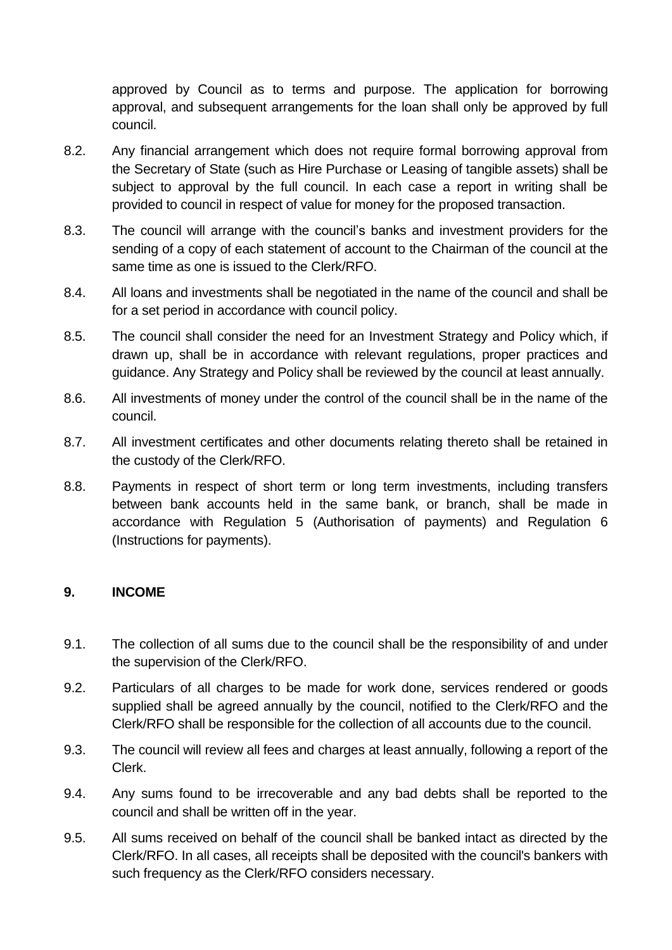approved by Council as to terms and purpose. The application for borrowing approval, and subsequent arrangements for the loan shall only be approved by full council.

- 8.2. Any financial arrangement which does not require formal borrowing approval from the Secretary of State (such as Hire Purchase or Leasing of tangible assets) shall be subject to approval by the full council. In each case a report in writing shall be provided to council in respect of value for money for the proposed transaction.
- 8.3. The council will arrange with the council's banks and investment providers for the sending of a copy of each statement of account to the Chairman of the council at the same time as one is issued to the Clerk/RFO.
- 8.4. All loans and investments shall be negotiated in the name of the council and shall be for a set period in accordance with council policy.
- 8.5. The council shall consider the need for an Investment Strategy and Policy which, if drawn up, shall be in accordance with relevant regulations, proper practices and guidance. Any Strategy and Policy shall be reviewed by the council at least annually.
- 8.6. All investments of money under the control of the council shall be in the name of the council.
- 8.7. All investment certificates and other documents relating thereto shall be retained in the custody of the Clerk/RFO.
- 8.8. Payments in respect of short term or long term investments, including transfers between bank accounts held in the same bank, or branch, shall be made in accordance with Regulation 5 (Authorisation of payments) and Regulation 6 (Instructions for payments).

#### **9. INCOME**

- 9.1. The collection of all sums due to the council shall be the responsibility of and under the supervision of the Clerk/RFO.
- 9.2. Particulars of all charges to be made for work done, services rendered or goods supplied shall be agreed annually by the council, notified to the Clerk/RFO and the Clerk/RFO shall be responsible for the collection of all accounts due to the council.
- 9.3. The council will review all fees and charges at least annually, following a report of the Clerk.
- 9.4. Any sums found to be irrecoverable and any bad debts shall be reported to the council and shall be written off in the year.
- 9.5. All sums received on behalf of the council shall be banked intact as directed by the Clerk/RFO. In all cases, all receipts shall be deposited with the council's bankers with such frequency as the Clerk/RFO considers necessary.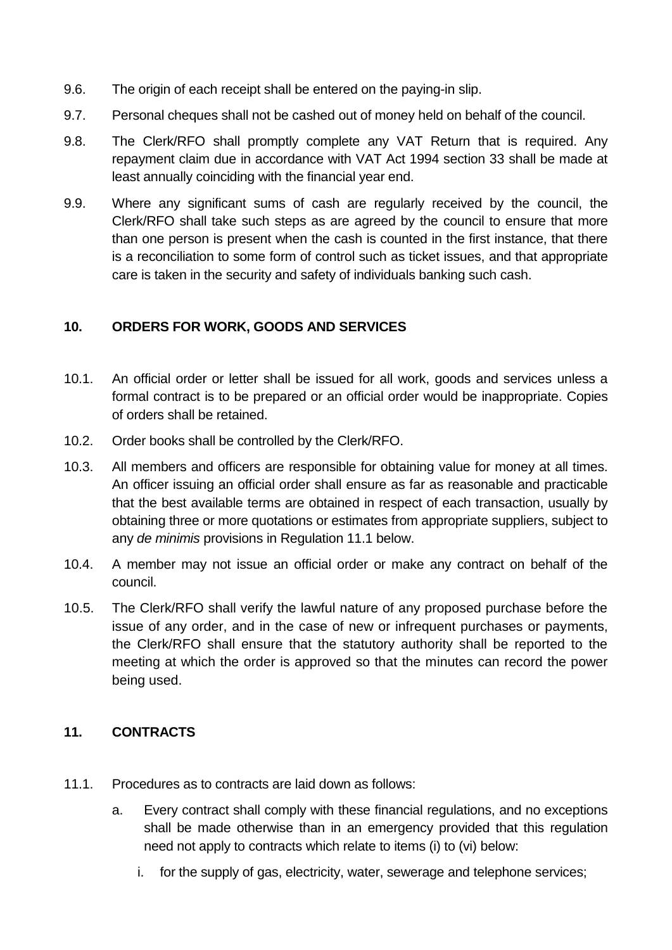- 9.6. The origin of each receipt shall be entered on the paying-in slip.
- 9.7. Personal cheques shall not be cashed out of money held on behalf of the council.
- 9.8. The Clerk/RFO shall promptly complete any VAT Return that is required. Any repayment claim due in accordance with VAT Act 1994 section 33 shall be made at least annually coinciding with the financial year end.
- 9.9. Where any significant sums of cash are regularly received by the council, the Clerk/RFO shall take such steps as are agreed by the council to ensure that more than one person is present when the cash is counted in the first instance, that there is a reconciliation to some form of control such as ticket issues, and that appropriate care is taken in the security and safety of individuals banking such cash.

### **10. ORDERS FOR WORK, GOODS AND SERVICES**

- 10.1. An official order or letter shall be issued for all work, goods and services unless a formal contract is to be prepared or an official order would be inappropriate. Copies of orders shall be retained.
- 10.2. Order books shall be controlled by the Clerk/RFO.
- 10.3. All members and officers are responsible for obtaining value for money at all times. An officer issuing an official order shall ensure as far as reasonable and practicable that the best available terms are obtained in respect of each transaction, usually by obtaining three or more quotations or estimates from appropriate suppliers, subject to any *de minimis* provisions in Regulation 11.1 below.
- 10.4. A member may not issue an official order or make any contract on behalf of the council.
- 10.5. The Clerk/RFO shall verify the lawful nature of any proposed purchase before the issue of any order, and in the case of new or infrequent purchases or payments, the Clerk/RFO shall ensure that the statutory authority shall be reported to the meeting at which the order is approved so that the minutes can record the power being used.

# **11. CONTRACTS**

- 11.1. Procedures as to contracts are laid down as follows:
	- a. Every contract shall comply with these financial regulations, and no exceptions shall be made otherwise than in an emergency provided that this regulation need not apply to contracts which relate to items (i) to (vi) below:
		- i. for the supply of gas, electricity, water, sewerage and telephone services;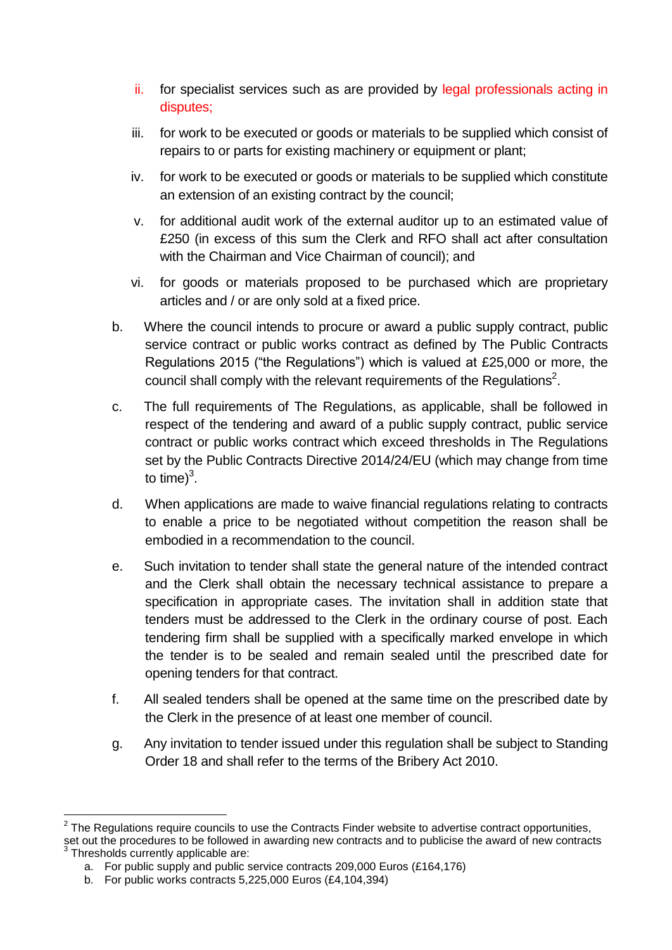- ii. for specialist services such as are provided by legal professionals acting in disputes;
- iii. for work to be executed or goods or materials to be supplied which consist of repairs to or parts for existing machinery or equipment or plant;
- iv. for work to be executed or goods or materials to be supplied which constitute an extension of an existing contract by the council;
- v. for additional audit work of the external auditor up to an estimated value of £250 (in excess of this sum the Clerk and RFO shall act after consultation with the Chairman and Vice Chairman of council); and
- vi. for goods or materials proposed to be purchased which are proprietary articles and / or are only sold at a fixed price.
- b. Where the council intends to procure or award a public supply contract, public service contract or public works contract as defined by The Public Contracts Regulations 2015 ("the Regulations") which is valued at £25,000 or more, the council shall comply with the relevant requirements of the Regulations<sup>2</sup>.
- c. The full requirements of The Regulations, as applicable, shall be followed in respect of the tendering and award of a public supply contract, public service contract or public works contract which exceed thresholds in The Regulations set by the Public Contracts Directive 2014/24/EU (which may change from time to time) $3$ .
- d. When applications are made to waive financial regulations relating to contracts to enable a price to be negotiated without competition the reason shall be embodied in a recommendation to the council.
- e. Such invitation to tender shall state the general nature of the intended contract and the Clerk shall obtain the necessary technical assistance to prepare a specification in appropriate cases. The invitation shall in addition state that tenders must be addressed to the Clerk in the ordinary course of post. Each tendering firm shall be supplied with a specifically marked envelope in which the tender is to be sealed and remain sealed until the prescribed date for opening tenders for that contract.
- f. All sealed tenders shall be opened at the same time on the prescribed date by the Clerk in the presence of at least one member of council.
- g. Any invitation to tender issued under this regulation shall be subject to Standing Order 18 and shall refer to the terms of the Bribery Act 2010.

<sup>1</sup>  $2$  The Regulations require councils to use the Contracts Finder website to advertise contract opportunities, set out the procedures to be followed in awarding new contracts and to publicise the award of new contracts <sup>3</sup> Thresholds currently applicable are:

a. For public supply and public service contracts 209,000 Euros (£164,176)

b. For public works contracts 5,225,000 Euros (£4,104,394)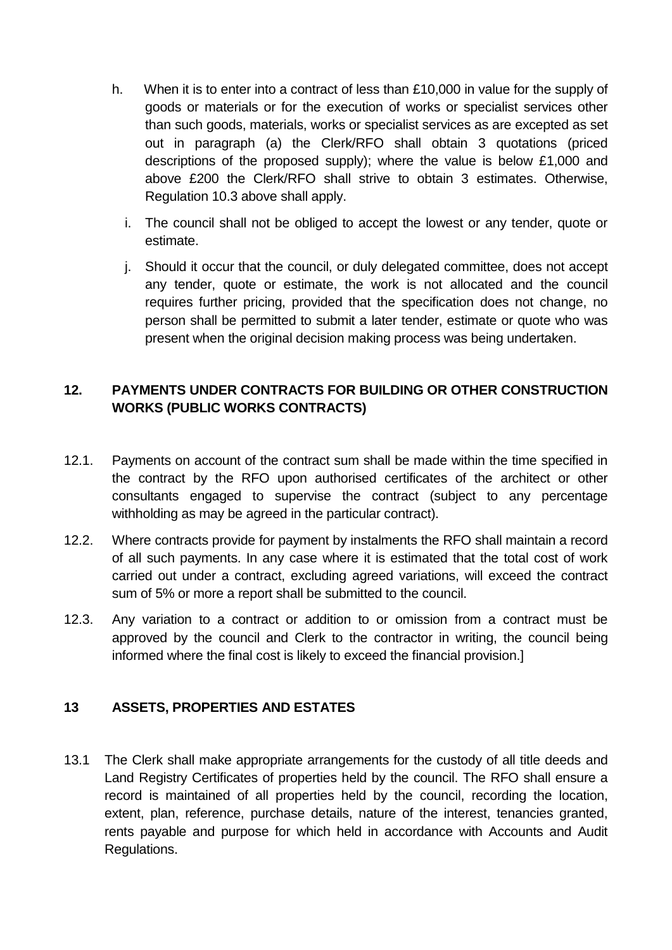- h. When it is to enter into a contract of less than £10,000 in value for the supply of goods or materials or for the execution of works or specialist services other than such goods, materials, works or specialist services as are excepted as set out in paragraph (a) the Clerk/RFO shall obtain 3 quotations (priced descriptions of the proposed supply); where the value is below £1,000 and above £200 the Clerk/RFO shall strive to obtain 3 estimates. Otherwise, Regulation 10.3 above shall apply.
	- i. The council shall not be obliged to accept the lowest or any tender, quote or estimate.
	- j. Should it occur that the council, or duly delegated committee, does not accept any tender, quote or estimate, the work is not allocated and the council requires further pricing, provided that the specification does not change, no person shall be permitted to submit a later tender, estimate or quote who was present when the original decision making process was being undertaken.

### **12. PAYMENTS UNDER CONTRACTS FOR BUILDING OR OTHER CONSTRUCTION WORKS (PUBLIC WORKS CONTRACTS)**

- 12.1. Payments on account of the contract sum shall be made within the time specified in the contract by the RFO upon authorised certificates of the architect or other consultants engaged to supervise the contract (subject to any percentage withholding as may be agreed in the particular contract).
- 12.2. Where contracts provide for payment by instalments the RFO shall maintain a record of all such payments. In any case where it is estimated that the total cost of work carried out under a contract, excluding agreed variations, will exceed the contract sum of 5% or more a report shall be submitted to the council.
- 12.3. Any variation to a contract or addition to or omission from a contract must be approved by the council and Clerk to the contractor in writing, the council being informed where the final cost is likely to exceed the financial provision.]

# **13 ASSETS, PROPERTIES AND ESTATES**

13.1 The Clerk shall make appropriate arrangements for the custody of all title deeds and Land Registry Certificates of properties held by the council. The RFO shall ensure a record is maintained of all properties held by the council, recording the location, extent, plan, reference, purchase details, nature of the interest, tenancies granted, rents payable and purpose for which held in accordance with Accounts and Audit Regulations.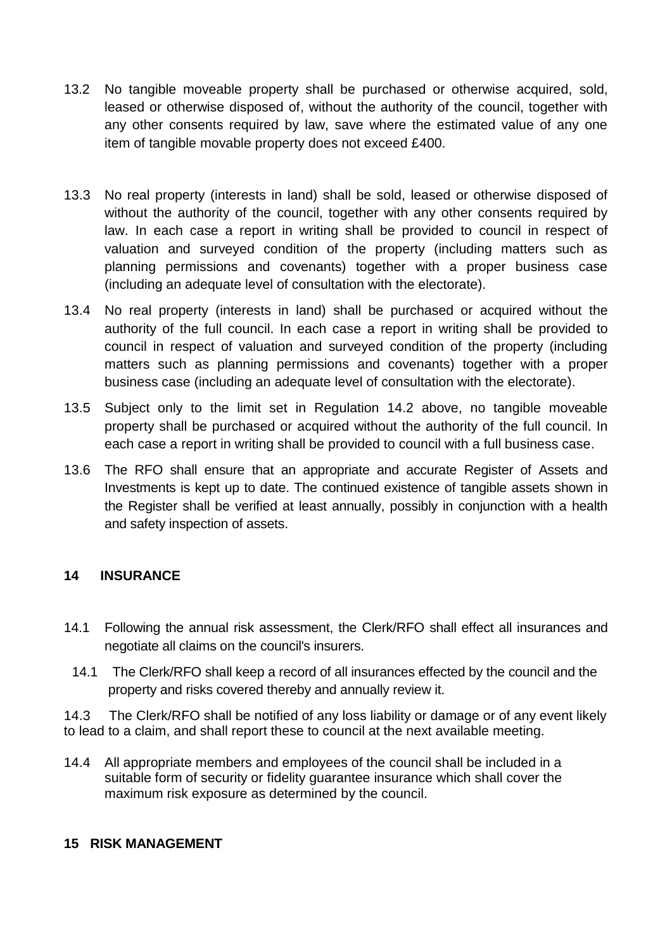- 13.2 No tangible moveable property shall be purchased or otherwise acquired, sold, leased or otherwise disposed of, without the authority of the council, together with any other consents required by law, save where the estimated value of any one item of tangible movable property does not exceed £400.
- 13.3 No real property (interests in land) shall be sold, leased or otherwise disposed of without the authority of the council, together with any other consents required by law. In each case a report in writing shall be provided to council in respect of valuation and surveyed condition of the property (including matters such as planning permissions and covenants) together with a proper business case (including an adequate level of consultation with the electorate).
- 13.4 No real property (interests in land) shall be purchased or acquired without the authority of the full council. In each case a report in writing shall be provided to council in respect of valuation and surveyed condition of the property (including matters such as planning permissions and covenants) together with a proper business case (including an adequate level of consultation with the electorate).
- 13.5 Subject only to the limit set in Regulation 14.2 above, no tangible moveable property shall be purchased or acquired without the authority of the full council. In each case a report in writing shall be provided to council with a full business case.
- 13.6 The RFO shall ensure that an appropriate and accurate Register of Assets and Investments is kept up to date. The continued existence of tangible assets shown in the Register shall be verified at least annually, possibly in conjunction with a health and safety inspection of assets.

#### **14 INSURANCE**

- 14.1 Following the annual risk assessment, the Clerk/RFO shall effect all insurances and negotiate all claims on the council's insurers.
	- 14.1 The Clerk/RFO shall keep a record of all insurances effected by the council and the property and risks covered thereby and annually review it.

14.3 The Clerk/RFO shall be notified of any loss liability or damage or of any event likely to lead to a claim, and shall report these to council at the next available meeting.

14.4 All appropriate members and employees of the council shall be included in a suitable form of security or fidelity guarantee insurance which shall cover the maximum risk exposure as determined by the council.

#### **15 RISK MANAGEMENT**